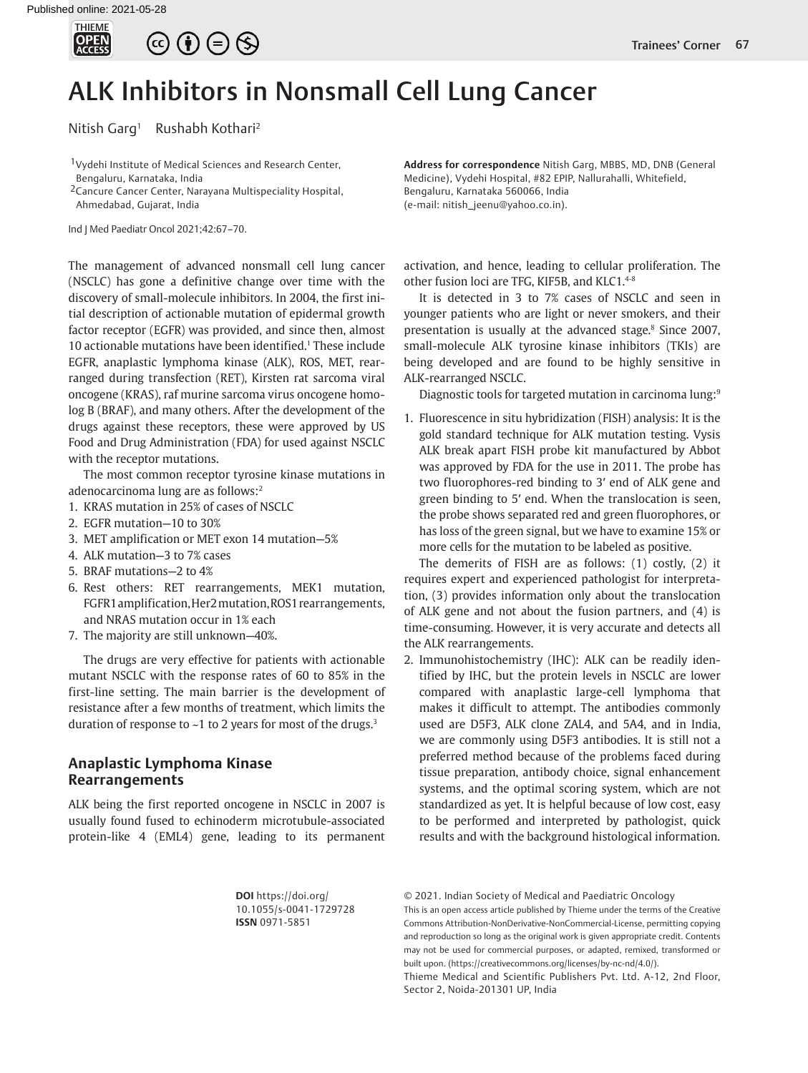

# $\circledcirc \oplus \circledcirc$

# ALK Inhibitors in Nonsmall Cell Lung Cancer

Nitish Garg<sup>1</sup> Rushabh Kothari<sup>2</sup>

<sup>1</sup> Vydehi Institute of Medical Sciences and Research Center, Bengaluru, Karnataka, India

2Cancure Cancer Center, Narayana Multispeciality Hospital, Ahmedabad, Gujarat, India

Ind J Med Paediatr Oncol 2021;42:67–70.

The management of advanced nonsmall cell lung cancer (NSCLC) has gone a definitive change over time with the discovery of small-molecule inhibitors. In 2004, the first initial description of actionable mutation of epidermal growth factor receptor (EGFR) was provided, and since then, almost 10 actionable mutations have been identified.1 These include EGFR, anaplastic lymphoma kinase (ALK), ROS, MET, rearranged during transfection (RET), Kirsten rat sarcoma viral oncogene (KRAS), raf murine sarcoma virus oncogene homolog B (BRAF), and many others. After the development of the drugs against these receptors, these were approved by US Food and Drug Administration (FDA) for used against NSCLC with the receptor mutations.

The most common receptor tyrosine kinase mutations in adenocarcinoma lung are as follows:<sup>2</sup>

- 1. KRAS mutation in 25% of cases of NSCLC
- 2. EGFR mutation—10 to 30%
- 3. MET amplification or MET exon 14 mutation—5%
- 4. ALK mutation—3 to 7% cases
- 5. BRAF mutations—2 to 4%
- 6. Rest others: RET rearrangements, MEK1 mutation, FGFR1 amplification, Her2 mutation, ROS1 rearrangements, and NRAS mutation occur in 1% each
- 7. The majority are still unknown—40%.

The drugs are very effective for patients with actionable mutant NSCLC with the response rates of 60 to 85% in the first-line setting. The main barrier is the development of resistance after a few months of treatment, which limits the duration of response to  $\sim$ 1 to 2 years for most of the drugs.<sup>3</sup>

## **Anaplastic Lymphoma Kinase Rearrangements**

ALK being the first reported oncogene in NSCLC in 2007 is usually found fused to echinoderm microtubule-associated protein-like 4 (EML4) gene, leading to its permanent **Address for correspondence** Nitish Garg, MBBS, MD, DNB (General Medicine), Vydehi Hospital, #82 EPIP, Nallurahalli, Whitefield, Bengaluru, Karnataka 560066, India (e-mail: nitish\_jeenu@yahoo.co.in).

activation, and hence, leading to cellular proliferation. The other fusion loci are TFG, KIF5B, and KLC1.4-8

It is detected in 3 to 7% cases of NSCLC and seen in younger patients who are light or never smokers, and their presentation is usually at the advanced stage.8 Since 2007, small-molecule ALK tyrosine kinase inhibitors (TKIs) are being developed and are found to be highly sensitive in ALK-rearranged NSCLC.

Diagnostic tools for targeted mutation in carcinoma lung:<sup>9</sup>

1. Fluorescence in situ hybridization (FISH) analysis: It is the gold standard technique for ALK mutation testing. Vysis ALK break apart FISH probe kit manufactured by Abbot was approved by FDA for the use in 2011. The probe has two fluorophores-red binding to 3′ end of ALK gene and green binding to 5′ end. When the translocation is seen, the probe shows separated red and green fluorophores, or has loss of the green signal, but we have to examine 15% or more cells for the mutation to be labeled as positive.

The demerits of FISH are as follows: (1) costly, (2) it requires expert and experienced pathologist for interpretation, (3) provides information only about the translocation of ALK gene and not about the fusion partners, and (4) is time-consuming. However, it is very accurate and detects all the ALK rearrangements.

2. Immunohistochemistry (IHC): ALK can be readily identified by IHC, but the protein levels in NSCLC are lower compared with anaplastic large-cell lymphoma that makes it difficult to attempt. The antibodies commonly used are D5F3, ALK clone ZAL4, and 5A4, and in India, we are commonly using D5F3 antibodies. It is still not a preferred method because of the problems faced during tissue preparation, antibody choice, signal enhancement systems, and the optimal scoring system, which are not standardized as yet. It is helpful because of low cost, easy to be performed and interpreted by pathologist, quick results and with the background histological information.

**DOI** https://doi.org/ 10.1055/s-0041-1729728 **ISSN** 0971-5851

© 2021. Indian Society of Medical and Paediatric Oncology

This is an open access article published by Thieme under the terms of the Creative Commons Attribution-NonDerivative-NonCommercial-License, permitting copying and reproduction so long as the original work is given appropriate credit. Contents may not be used for commercial purposes, or adapted, remixed, transformed or built upon. (https://creativecommons.org/licenses/by-nc-nd/4.0/).

Thieme Medical and Scientific Publishers Pvt. Ltd. A-12, 2nd Floor, Sector 2, Noida-201301 UP, India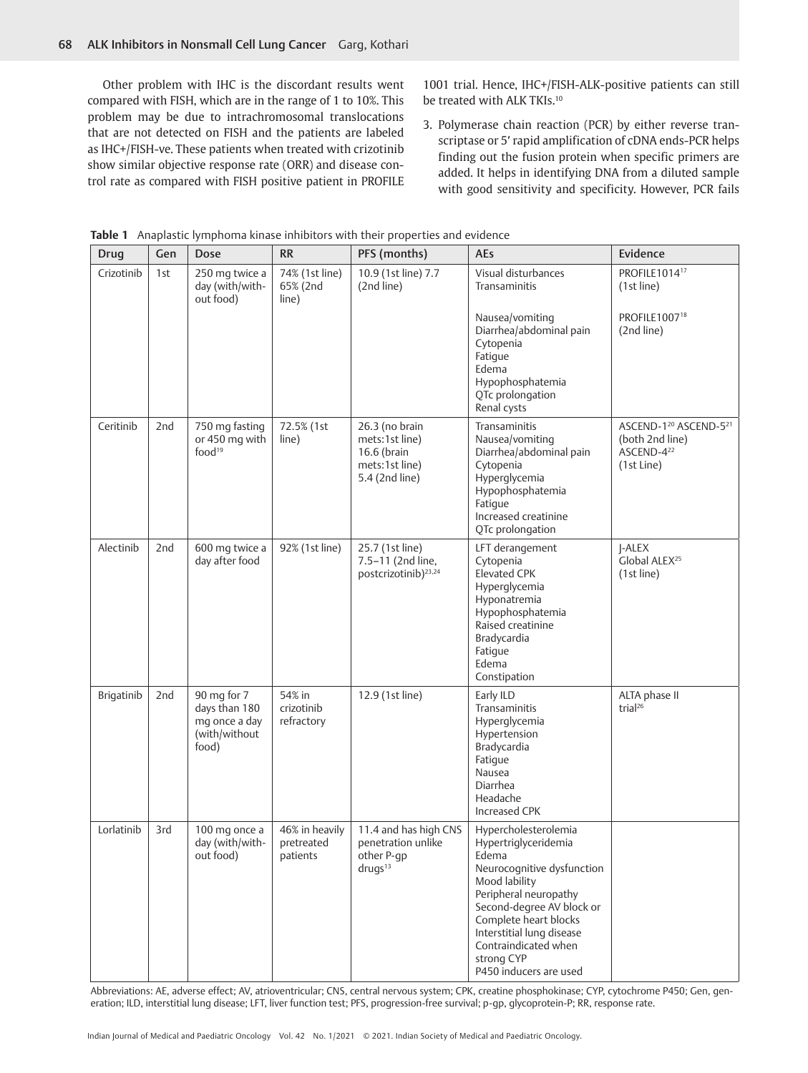Other problem with IHC is the discordant results went compared with FISH, which are in the range of 1 to 10%. This problem may be due to intrachromosomal translocations that are not detected on FISH and the patients are labeled as IHC+/FISH-ve. These patients when treated with crizotinib show similar objective response rate (ORR) and disease control rate as compared with FISH positive patient in PROFILE 1001 trial. Hence, IHC+/FISH-ALK-positive patients can still be treated with ALK TKIs.<sup>10</sup>

3. Polymerase chain reaction (PCR) by either reverse transcriptase or 5′ rapid amplification of cDNA ends-PCR helps finding out the fusion protein when specific primers are added. It helps in identifying DNA from a diluted sample with good sensitivity and specificity. However, PCR fails

| Drug       | Gen             | Dose                                                                    | <b>RR</b>                                | PFS (months)                                                                        | <b>AEs</b>                                                                                                                                                                                                                                                                       | Evidence                                                                                                 |
|------------|-----------------|-------------------------------------------------------------------------|------------------------------------------|-------------------------------------------------------------------------------------|----------------------------------------------------------------------------------------------------------------------------------------------------------------------------------------------------------------------------------------------------------------------------------|----------------------------------------------------------------------------------------------------------|
| Crizotinib | 1st             | 250 mg twice a<br>day (with/with-<br>out food)                          | 74% (1st line)<br>65% (2nd<br>line)      | 10.9 (1st line) 7.7<br>(2nd line)                                                   | Visual disturbances<br>Transaminitis<br>Nausea/vomiting<br>Diarrhea/abdominal pain<br>Cytopenia<br>Fatique<br>Edema<br>Hypophosphatemia<br>QTc prolongation<br>Renal cysts                                                                                                       | PROFILE101417<br>(1st line)<br>PROFILE1007 <sup>18</sup><br>(2nd line)                                   |
| Ceritinib  | 2nd             | 750 mg fasting<br>or 450 mg with<br>food <sup>19</sup>                  | 72.5% (1st<br>line)                      | 26.3 (no brain<br>mets:1st line)<br>16.6 (brain<br>mets:1st line)<br>5.4 (2nd line) | Transaminitis<br>Nausea/vomiting<br>Diarrhea/abdominal pain<br>Cytopenia<br>Hyperglycemia<br>Hypophosphatemia<br>Fatique<br>Increased creatinine<br>QTc prolongation                                                                                                             | ASCEND-1 <sup>20</sup> ASCEND-5 <sup>21</sup><br>(both 2nd line)<br>ASCEND-4 <sup>22</sup><br>(1st Line) |
| Alectinib  | 2nd             | 600 mg twice a<br>day after food                                        | 92% (1st line)                           | 25.7 (1st line)<br>7.5-11 (2nd line,<br>postcrizotinib) <sup>23,24</sup>            | LFT derangement<br>Cytopenia<br>Elevated CPK<br>Hyperglycemia<br>Hyponatremia<br>Hypophosphatemia<br>Raised creatinine<br>Bradycardia<br>Fatique<br>Edema<br>Constipation                                                                                                        | <b>I-ALEX</b><br>Global ALEX <sup>25</sup><br>(1st line)                                                 |
| Brigatinib | 2 <sub>nd</sub> | 90 mg for 7<br>days than 180<br>mg once a day<br>(with/without<br>food) | 54% in<br>crizotinib<br>refractory       | 12.9 (1st line)                                                                     | Early ILD<br>Transaminitis<br>Hyperglycemia<br>Hypertension<br>Bradycardia<br>Fatique<br>Nausea<br>Diarrhea<br>Headache<br>Increased CPK                                                                                                                                         | ALTA phase II<br>trial <sup>26</sup>                                                                     |
| Lorlatinib | 3rd             | 100 mg once a<br>day (with/with-<br>out food)                           | 46% in heavily<br>pretreated<br>patients | 11.4 and has high CNS<br>penetration unlike<br>other P-gp<br>drugs <sup>13</sup>    | Hypercholesterolemia<br>Hypertriglyceridemia<br>Edema<br>Neurocognitive dysfunction<br>Mood lability<br>Peripheral neuropathy<br>Second-degree AV block or<br>Complete heart blocks<br>Interstitial lung disease<br>Contraindicated when<br>strong CYP<br>P450 inducers are used |                                                                                                          |

**Table 1** Anaplastic lymphoma kinase inhibitors with their properties and evidence

Abbreviations: AE, adverse effect; AV, atrioventricular; CNS, central nervous system; CPK, creatine phosphokinase; CYP, cytochrome P450; Gen, generation; ILD, interstitial lung disease; LFT, liver function test; PFS, progression-free survival; p-gp, glycoprotein-P; RR, response rate.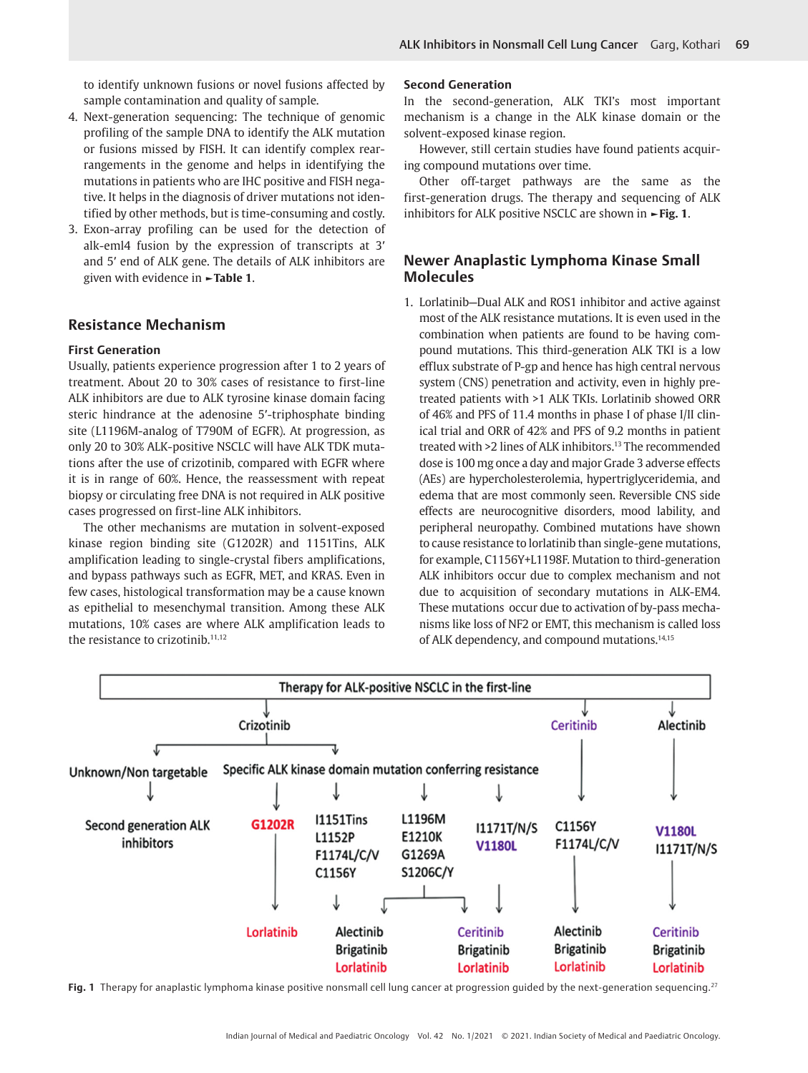to identify unknown fusions or novel fusions affected by sample contamination and quality of sample.

- 4. Next-generation sequencing: The technique of genomic profiling of the sample DNA to identify the ALK mutation or fusions missed by FISH. It can identify complex rearrangements in the genome and helps in identifying the mutations in patients who are IHC positive and FISH negative. It helps in the diagnosis of driver mutations not identified by other methods, but is time-consuming and costly.
- 3. Exon-array profiling can be used for the detection of alk-eml4 fusion by the expression of transcripts at 3′ and 5′ end of ALK gene. The details of ALK inhibitors are given with evidence in **►Table 1**.

## **Resistance Mechanism**

#### **First Generation**

Usually, patients experience progression after 1 to 2 years of treatment. About 20 to 30% cases of resistance to first-line ALK inhibitors are due to ALK tyrosine kinase domain facing steric hindrance at the adenosine 5′-triphosphate binding site (L1196M-analog of T790M of EGFR). At progression, as only 20 to 30% ALK-positive NSCLC will have ALK TDK mutations after the use of crizotinib, compared with EGFR where it is in range of 60%. Hence, the reassessment with repeat biopsy or circulating free DNA is not required in ALK positive cases progressed on first-line ALK inhibitors.

The other mechanisms are mutation in solvent-exposed kinase region binding site (G1202R) and 1151Tins, ALK amplification leading to single-crystal fibers amplifications, and bypass pathways such as EGFR, MET, and KRAS. Even in few cases, histological transformation may be a cause known as epithelial to mesenchymal transition. Among these ALK mutations, 10% cases are where ALK amplification leads to the resistance to crizotinib.<sup>11,12</sup>

#### **Second Generation**

In the second-generation, ALK TKI's most important mechanism is a change in the ALK kinase domain or the solvent-exposed kinase region.

However, still certain studies have found patients acquiring compound mutations over time.

Other off-target pathways are the same as the first-generation drugs. The therapy and sequencing of ALK inhibitors for ALK positive NSCLC are shown in **►Fig. 1**.

# **Newer Anaplastic Lymphoma Kinase Small Molecules**

1. Lorlatinib—Dual ALK and ROS1 inhibitor and active against most of the ALK resistance mutations. It is even used in the combination when patients are found to be having compound mutations. This third-generation ALK TKI is a low efflux substrate of P-gp and hence has high central nervous system (CNS) penetration and activity, even in highly pretreated patients with >1 ALK TKIs. Lorlatinib showed ORR of 46% and PFS of 11.4 months in phase I of phase I/II clinical trial and ORR of 42% and PFS of 9.2 months in patient treated with >2 lines of ALK inhibitors.<sup>13</sup> The recommended dose is 100 mg once a day and major Grade 3 adverse effects (AEs) are hypercholesterolemia, hypertriglyceridemia, and edema that are most commonly seen. Reversible CNS side effects are neurocognitive disorders, mood lability, and peripheral neuropathy. Combined mutations have shown to cause resistance to lorlatinib than single-gene mutations, for example, C1156Y+L1198F. Mutation to third-generation ALK inhibitors occur due to complex mechanism and not due to acquisition of secondary mutations in ALK-EM4. These mutations occur due to activation of by-pass mechanisms like loss of NF2 or EMT, this mechanism is called loss of ALK dependency, and compound mutations.14,15



**Fig. 1** Therapy for anaplastic lymphoma kinase positive nonsmall cell lung cancer at progression guided by the next-generation sequencing.27